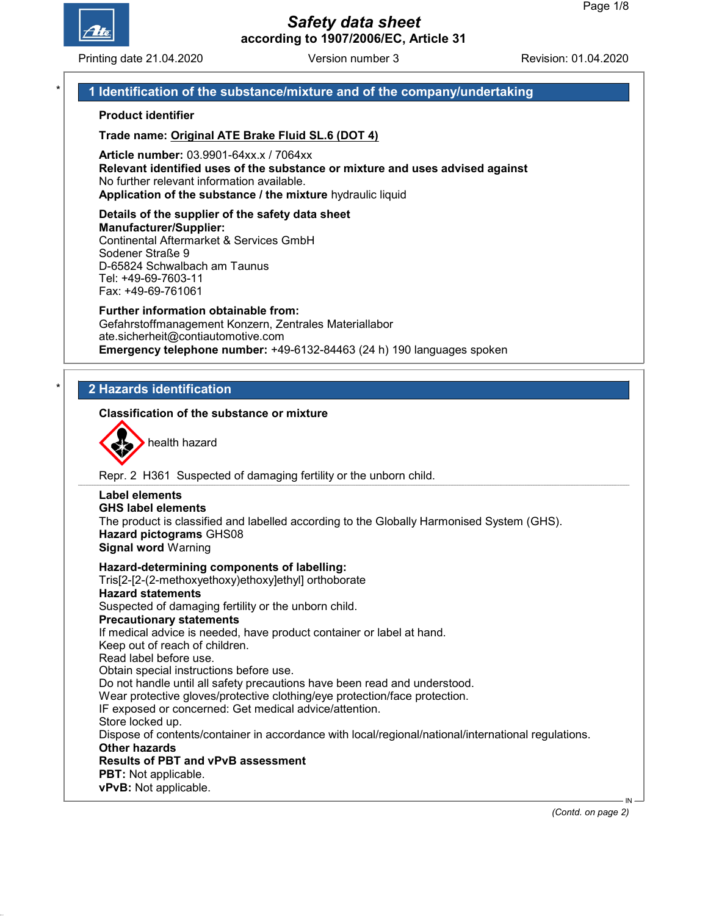

Printing date 21.04.2020 **Revision: 01.04.2020** Version number 3 Revision: 01.04.2020

## 1 Identification of the substance/mixture and of the company/undertaking

### Product identifier

Trade name: Original ATE Brake Fluid SL.6 (DOT 4)

Article number: 03.9901-64xx.x / 7064xx Relevant identified uses of the substance or mixture and uses advised against No further relevant information available. Application of the substance / the mixture hydraulic liquid

#### Details of the supplier of the safety data sheet Manufacturer/Supplier: Continental Aftermarket & Services GmbH Sodener Straße 9 D-65824 Schwalbach am Taunus

Tel: +49-69-7603-11 Fax: +49-69-761061

#### Further information obtainable from: Gefahrstoffmanagement Konzern, Zentrales Materiallabor ate.sicherheit@contiautomotive.com Emergency telephone number: +49-6132-84463 (24 h) 190 languages spoken

## **2 Hazards identification**

### Classification of the substance or mixture



health hazard

Repr. 2 H361 Suspected of damaging fertility or the unborn child.

#### Label elements GHS label elements The product is classified and labelled according to the Globally Harmonised System (GHS). Hazard pictograms GHS08 Signal word Warning Hazard-determining components of labelling: Tris[2-[2-(2-methoxyethoxy)ethoxy]ethyl] orthoborate Hazard statements Suspected of damaging fertility or the unborn child. Precautionary statements If medical advice is needed, have product container or label at hand. Keep out of reach of children. Read label before use.

Obtain special instructions before use. Do not handle until all safety precautions have been read and understood. Wear protective gloves/protective clothing/eye protection/face protection. IF exposed or concerned: Get medical advice/attention. Store locked up. Dispose of contents/container in accordance with local/regional/national/international regulations. Other hazards Results of PBT and vPvB assessment PBT: Not applicable. vPvB: Not applicable.

(Contd. on page 2)

IN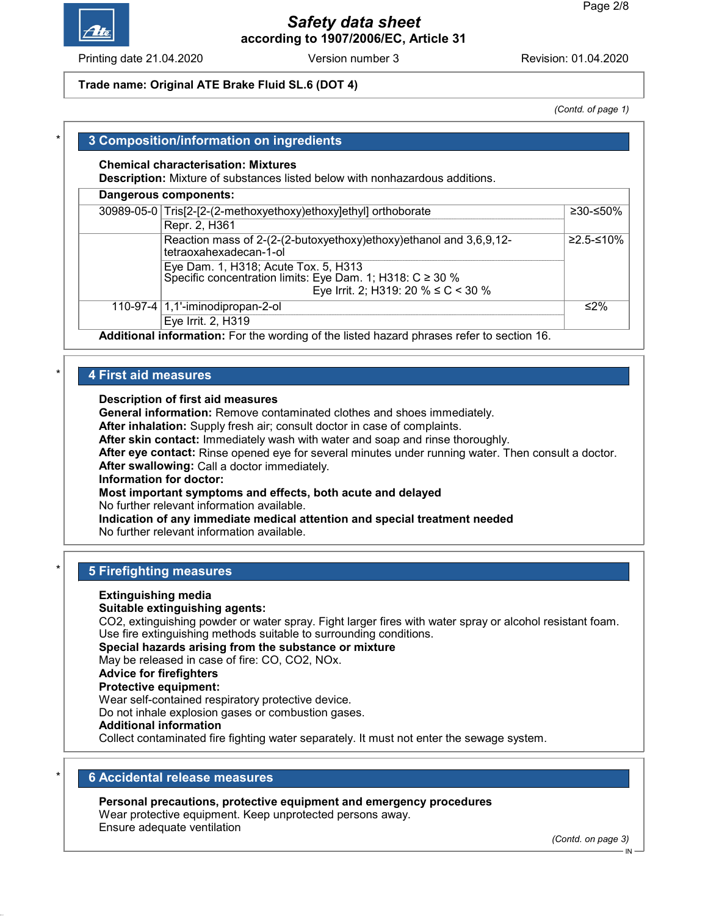

Printing date 21.04.2020 **Revision: 01.04.2020** Version number 3 Revision: 01.04.2020

### Trade name: Original ATE Brake Fluid SL.6 (DOT 4)

(Contd. of page 1)

## 3 Composition/information on ingredients

#### Chemical characterisation: Mixtures

Description: Mixture of substances listed below with nonhazardous additions.

| Dangerous components: |                                                                                                   |           |  |
|-----------------------|---------------------------------------------------------------------------------------------------|-----------|--|
|                       | 30989-05-0 Tris[2-[2-(2-methoxyethoxy)ethoxy]ethyl] orthoborate                                   | ≥30-≤50%  |  |
|                       | Repr. 2, H361                                                                                     |           |  |
|                       | Reaction mass of 2-(2-(2-butoxyethoxy)ethoxy)ethanol and 3,6,9,12-<br>tetraoxahexadecan-1-ol      | ≥2.5-≤10% |  |
|                       | Eye Dam. 1, H318; Acute Tox. 5, H313<br>Specific concentration limits: Eye Dam. 1; H318: C ≥ 30 % |           |  |
|                       | Eye Irrit. 2; H319: 20 % $\leq$ C < 30 %                                                          |           |  |
|                       | 110-97-4 $ 1,1$ -iminodipropan-2-ol                                                               | ≤2%       |  |
|                       | Eye Irrit. 2, H319                                                                                |           |  |
|                       | Additional information: Far the wording of the listed because phresses refer to eastign 10        |           |  |

Additional information: For the wording of the listed hazard phrases refer to section 16.

## 4 First aid measures

### Description of first aid measures

General information: Remove contaminated clothes and shoes immediately.

After inhalation: Supply fresh air; consult doctor in case of complaints.

After skin contact: Immediately wash with water and soap and rinse thoroughly.

After eye contact: Rinse opened eye for several minutes under running water. Then consult a doctor. After swallowing: Call a doctor immediately.

Information for doctor:

Most important symptoms and effects, both acute and delayed

No further relevant information available.

Indication of any immediate medical attention and special treatment needed No further relevant information available.

## **5 Firefighting measures**

#### Extinguishing media

#### Suitable extinguishing agents:

CO2, extinguishing powder or water spray. Fight larger fires with water spray or alcohol resistant foam. Use fire extinguishing methods suitable to surrounding conditions.

Special hazards arising from the substance or mixture

May be released in case of fire: CO, CO2, NOx.

## Advice for firefighters

#### Protective equipment:

Wear self-contained respiratory protective device.

Do not inhale explosion gases or combustion gases.

### Additional information

Collect contaminated fire fighting water separately. It must not enter the sewage system.

## **6 Accidental release measures**

#### Personal precautions, protective equipment and emergency procedures

Wear protective equipment. Keep unprotected persons away. Ensure adequate ventilation

(Contd. on page 3)

IN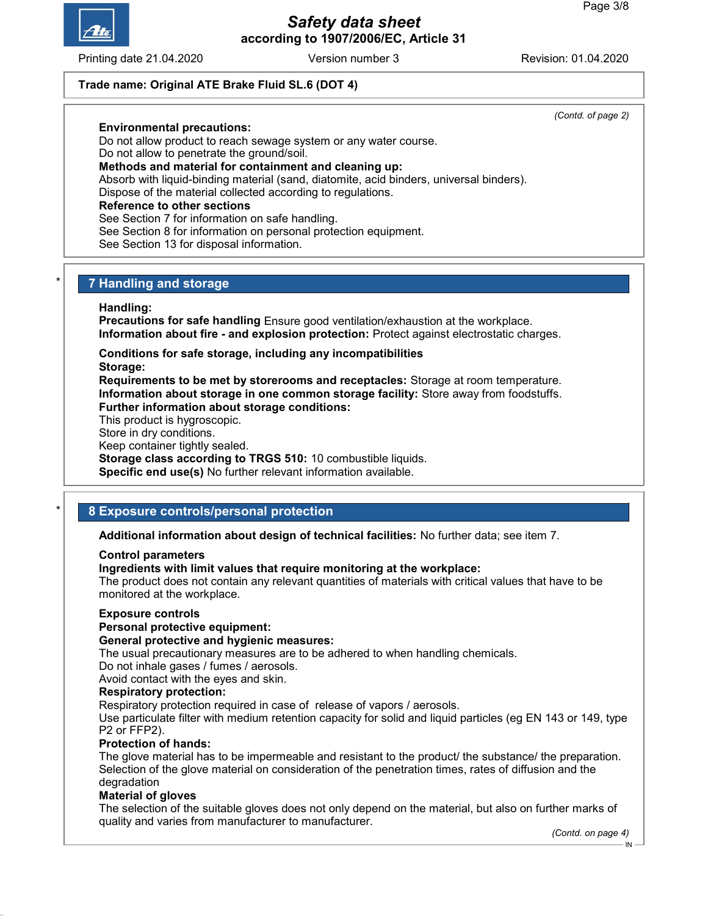

Printing date 21.04.2020 **Revision: 01.04.2020** Version number 3 Revision: 01.04.2020

(Contd. of page 2)

### Trade name: Original ATE Brake Fluid SL.6 (DOT 4)

### Environmental precautions:

Do not allow product to reach sewage system or any water course.

Do not allow to penetrate the ground/soil.

## Methods and material for containment and cleaning up:

Absorb with liquid-binding material (sand, diatomite, acid binders, universal binders).

Dispose of the material collected according to regulations.

### Reference to other sections

See Section 7 for information on safe handling.

See Section 8 for information on personal protection equipment.

See Section 13 for disposal information.

## **7 Handling and storage**

### Handling:

Precautions for safe handling Ensure good ventilation/exhaustion at the workplace. Information about fire - and explosion protection: Protect against electrostatic charges.

Conditions for safe storage, including any incompatibilities

Storage:

Requirements to be met by storerooms and receptacles: Storage at room temperature. Information about storage in one common storage facility: Store away from foodstuffs. Further information about storage conditions:

This product is hygroscopic.

Store in dry conditions.

Keep container tightly sealed.

Storage class according to TRGS 510: 10 combustible liquids.

Specific end use(s) No further relevant information available.

## 8 Exposure controls/personal protection

Additional information about design of technical facilities: No further data; see item 7.

#### Control parameters

### Ingredients with limit values that require monitoring at the workplace:

The product does not contain any relevant quantities of materials with critical values that have to be monitored at the workplace.

#### Exposure controls

### Personal protective equipment:

#### General protective and hygienic measures:

The usual precautionary measures are to be adhered to when handling chemicals.

Do not inhale gases / fumes / aerosols.

Avoid contact with the eyes and skin.

#### Respiratory protection:

Respiratory protection required in case of release of vapors / aerosols.

Use particulate filter with medium retention capacity for solid and liquid particles (eg EN 143 or 149, type P2 or FFP2).

### Protection of hands:

The glove material has to be impermeable and resistant to the product/ the substance/ the preparation. Selection of the glove material on consideration of the penetration times, rates of diffusion and the degradation

#### Material of gloves

The selection of the suitable gloves does not only depend on the material, but also on further marks of quality and varies from manufacturer to manufacturer.

(Contd. on page 4)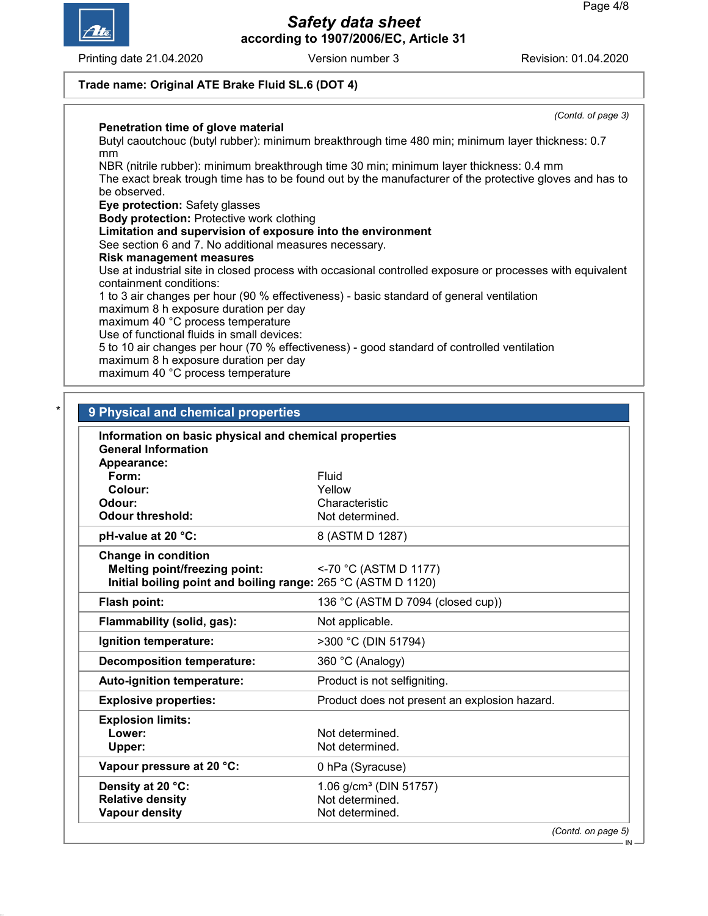

Printing date 21.04.2020 **Revision: 01.04.2020** Version number 3

(Contd. of page 3)

### Trade name: Original ATE Brake Fluid SL.6 (DOT 4)

### Penetration time of glove material

Butyl caoutchouc (butyl rubber): minimum breakthrough time 480 min; minimum layer thickness: 0.7 mm

NBR (nitrile rubber): minimum breakthrough time 30 min; minimum layer thickness: 0.4 mm The exact break trough time has to be found out by the manufacturer of the protective gloves and has to be observed.

Eye protection: Safety glasses

Body protection: Protective work clothing

Limitation and supervision of exposure into the environment

See section 6 and 7. No additional measures necessary.

Risk management measures

Use at industrial site in closed process with occasional controlled exposure or processes with equivalent containment conditions:

1 to 3 air changes per hour (90 % effectiveness) - basic standard of general ventilation

maximum 8 h exposure duration per day

maximum 40 °C process temperature

Use of functional fluids in small devices:

5 to 10 air changes per hour (70 % effectiveness) - good standard of controlled ventilation

maximum 8 h exposure duration per day

maximum 40 °C process temperature

| Information on basic physical and chemical properties         |                                               |  |
|---------------------------------------------------------------|-----------------------------------------------|--|
| <b>General Information</b>                                    |                                               |  |
| Appearance:<br>Form:                                          | Fluid                                         |  |
| Colour:                                                       | Yellow                                        |  |
| Odour:                                                        | Characteristic                                |  |
| <b>Odour threshold:</b>                                       | Not determined.                               |  |
| pH-value at 20 °C:                                            | 8 (ASTM D 1287)                               |  |
| <b>Change in condition</b>                                    |                                               |  |
| <b>Melting point/freezing point:</b>                          | <-70 °C (ASTM D 1177)                         |  |
| Initial boiling point and boiling range: 265 °C (ASTM D 1120) |                                               |  |
| Flash point:                                                  | 136 °C (ASTM D 7094 (closed cup))             |  |
| Flammability (solid, gas):                                    | Not applicable.                               |  |
| Ignition temperature:                                         | >300 °C (DIN 51794)                           |  |
| <b>Decomposition temperature:</b>                             | 360 °C (Analogy)                              |  |
| Auto-ignition temperature:                                    | Product is not selfigniting.                  |  |
| <b>Explosive properties:</b>                                  | Product does not present an explosion hazard. |  |
| <b>Explosion limits:</b>                                      |                                               |  |
| Lower:                                                        | Not determined.                               |  |
| Upper:                                                        | Not determined.                               |  |
| Vapour pressure at 20 °C:                                     | 0 hPa (Syracuse)                              |  |
| Density at 20 °C:                                             | 1.06 $g/cm^3$ (DIN 51757)                     |  |
| <b>Relative density</b>                                       | Not determined.                               |  |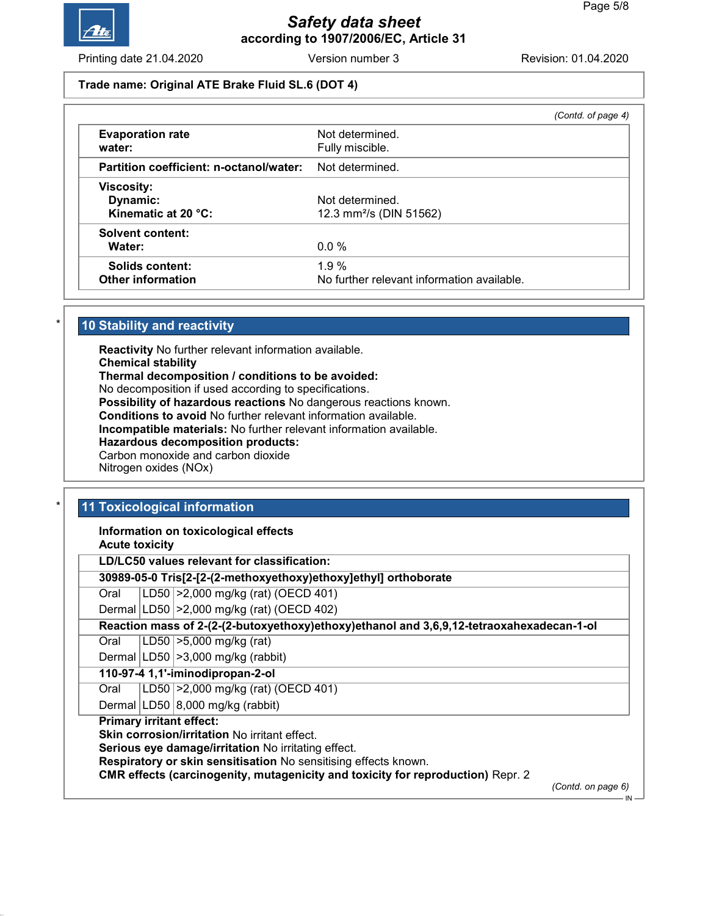

Printing date 21.04.2020 **Revision: 01.04.2020** Version number 3 Revision: 01.04.2020

#### Trade name: Original ATE Brake Fluid SL.6 (DOT 4)

|                                                      |                                                        | (Contd. of page 4) |
|------------------------------------------------------|--------------------------------------------------------|--------------------|
| <b>Evaporation rate</b><br>water:                    | Not determined.<br>Fully miscible.                     |                    |
| Partition coefficient: n-octanol/water:              | Not determined.                                        |                    |
| <b>Viscosity:</b><br>Dynamic:<br>Kinematic at 20 °C: | Not determined.<br>12.3 mm <sup>2</sup> /s (DIN 51562) |                    |
| <b>Solvent content:</b><br>Water:                    | $0.0\%$                                                |                    |
| Solids content:<br><b>Other information</b>          | 1.9%<br>No further relevant information available.     |                    |

### 10 Stability and reactivity

Reactivity No further relevant information available. Chemical stability Thermal decomposition / conditions to be avoided: No decomposition if used according to specifications. Possibility of hazardous reactions No dangerous reactions known. Conditions to avoid No further relevant information available. Incompatible materials: No further relevant information available. Hazardous decomposition products: Carbon monoxide and carbon dioxide Nitrogen oxides (NOx)

### 11 Toxicological information

Information on toxicological effects

Acute toxicity

LD/LC50 values relevant for classification:

30989-05-0 Tris[2-[2-(2-methoxyethoxy)ethoxy]ethyl] orthoborate

Oral LD50 >2,000 mg/kg (rat) (OECD 401)

Dermal LD50 >2,000 mg/kg (rat) (OECD 402)

Reaction mass of 2-(2-(2-butoxyethoxy)ethoxy)ethanol and 3,6,9,12-tetraoxahexadecan-1-ol

Oral LD50 >5,000 mg/kg (rat)

Dermal  $|LD50| > 3,000$  mg/kg (rabbit)

#### 110-97-4 1,1'-iminodipropan-2-ol

Oral LD50 >2,000 mg/kg (rat) (OECD 401)

Dermal  $|LD50|8,000$  mg/kg (rabbit)

### Primary irritant effect:

Skin corrosion/irritation No irritant effect.

Serious eye damage/irritation No irritating effect.

Respiratory or skin sensitisation No sensitising effects known.

CMR effects (carcinogenity, mutagenicity and toxicity for reproduction) Repr. 2

(Contd. on page 6)

IN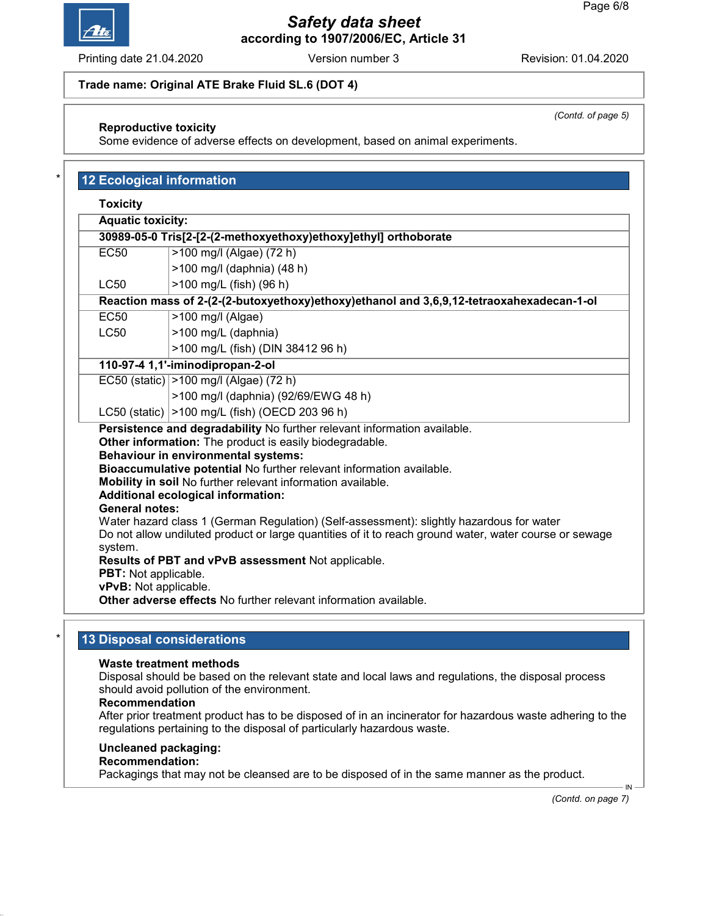

Printing date 21.04.2020 **Revision: 01.04.2020** Version number 3 Revision: 01.04.2020

### Trade name: Original ATE Brake Fluid SL.6 (DOT 4)

### Reproductive toxicity

Some evidence of adverse effects on development, based on animal experiments.

| <b>Toxicity</b>                                                 |                                                                                                                                                                                                                                                                                                                                                                       |  |  |  |
|-----------------------------------------------------------------|-----------------------------------------------------------------------------------------------------------------------------------------------------------------------------------------------------------------------------------------------------------------------------------------------------------------------------------------------------------------------|--|--|--|
| <b>Aquatic toxicity:</b>                                        |                                                                                                                                                                                                                                                                                                                                                                       |  |  |  |
| 30989-05-0 Tris[2-[2-(2-methoxyethoxy)ethoxy]ethyl] orthoborate |                                                                                                                                                                                                                                                                                                                                                                       |  |  |  |
| <b>EC50</b>                                                     | >100 mg/l (Algae) (72 h)                                                                                                                                                                                                                                                                                                                                              |  |  |  |
|                                                                 | >100 mg/l (daphnia) (48 h)                                                                                                                                                                                                                                                                                                                                            |  |  |  |
| <b>LC50</b>                                                     | >100 mg/L (fish) (96 h)                                                                                                                                                                                                                                                                                                                                               |  |  |  |
|                                                                 | Reaction mass of 2-(2-(2-butoxyethoxy)ethoxy)ethanol and 3,6,9,12-tetraoxahexadecan-1-ol                                                                                                                                                                                                                                                                              |  |  |  |
| <b>EC50</b>                                                     | $>100$ mg/l (Algae)                                                                                                                                                                                                                                                                                                                                                   |  |  |  |
| <b>LC50</b>                                                     | >100 mg/L (daphnia)                                                                                                                                                                                                                                                                                                                                                   |  |  |  |
|                                                                 | >100 mg/L (fish) (DIN 38412 96 h)                                                                                                                                                                                                                                                                                                                                     |  |  |  |
|                                                                 | 110-97-4 1,1'-iminodipropan-2-ol                                                                                                                                                                                                                                                                                                                                      |  |  |  |
|                                                                 | EC50 (static)   > 100 mg/l (Algae) (72 h)                                                                                                                                                                                                                                                                                                                             |  |  |  |
|                                                                 | >100 mg/l (daphnia) (92/69/EWG 48 h)                                                                                                                                                                                                                                                                                                                                  |  |  |  |
|                                                                 | LC50 (static)   > 100 mg/L (fish) (OECD 203 96 h)                                                                                                                                                                                                                                                                                                                     |  |  |  |
|                                                                 | Persistence and degradability No further relevant information available.<br>Other information: The product is easily biodegradable.<br><b>Behaviour in environmental systems:</b><br>Bioaccumulative potential No further relevant information available.<br>Mobility in soil No further relevant information available.<br><b>Additional ecological information:</b> |  |  |  |
| <b>General notes:</b><br>system.                                | Water hazard class 1 (German Regulation) (Self-assessment): slightly hazardous for water<br>Do not allow undiluted product or large quantities of it to reach ground water, water course or sewage<br>Results of PBT and vPvB assessment Not applicable.                                                                                                              |  |  |  |

## 13 Disposal considerations

### Waste treatment methods

Disposal should be based on the relevant state and local laws and regulations, the disposal process should avoid pollution of the environment.

#### Recommendation

After prior treatment product has to be disposed of in an incinerator for hazardous waste adhering to the regulations pertaining to the disposal of particularly hazardous waste.

### Uncleaned packaging:

## Recommendation:

Packagings that may not be cleansed are to be disposed of in the same manner as the product.

(Contd. on page 7)

IN

(Contd. of page 5)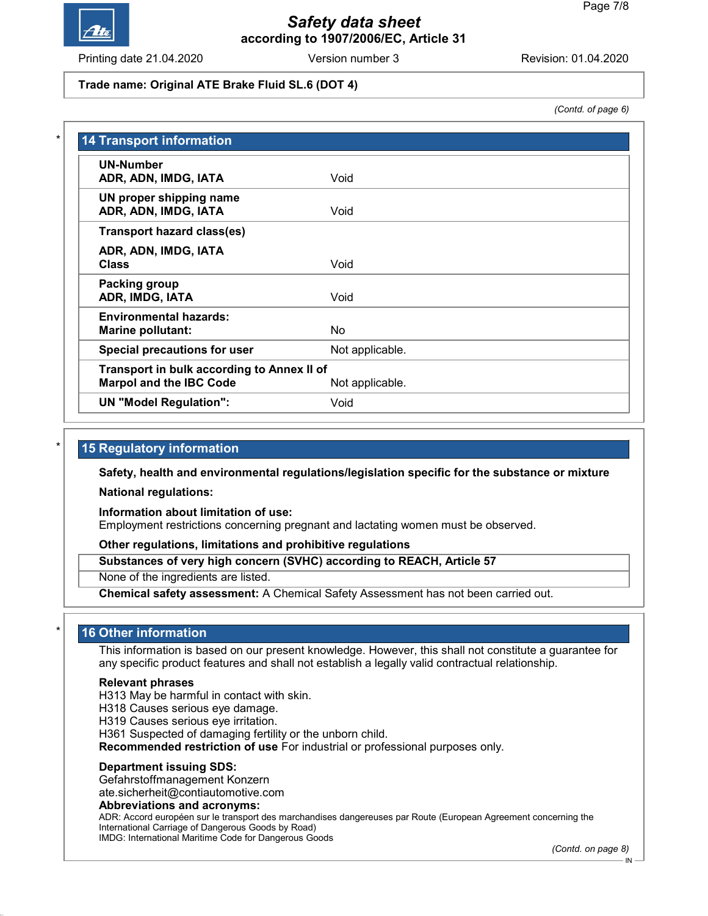

Printing date 21.04.2020 **Revision: 01.04.2020** Version number 3 Revision: 01.04.2020

### Trade name: Original ATE Brake Fluid SL.6 (DOT 4)

(Contd. of page 6)

| <b>UN-Number</b>                           |                 |
|--------------------------------------------|-----------------|
| ADR, ADN, IMDG, IATA                       | Void            |
| UN proper shipping name                    |                 |
| ADR, ADN, IMDG, IATA                       | Void            |
| <b>Transport hazard class(es)</b>          |                 |
| ADR, ADN, IMDG, IATA                       |                 |
| <b>Class</b>                               | Void            |
| Packing group                              |                 |
| ADR, IMDG, IATA                            | Void            |
| <b>Environmental hazards:</b>              |                 |
| <b>Marine pollutant:</b>                   | No              |
| Special precautions for user               | Not applicable. |
| Transport in bulk according to Annex II of |                 |
| <b>Marpol and the IBC Code</b>             | Not applicable. |

### 15 Regulatory information

Safety, health and environmental regulations/legislation specific for the substance or mixture

National regulations:

Information about limitation of use:

Employment restrictions concerning pregnant and lactating women must be observed.

Other regulations, limitations and prohibitive regulations

Substances of very high concern (SVHC) according to REACH, Article 57

None of the ingredients are listed.

Chemical safety assessment: A Chemical Safety Assessment has not been carried out.

### 16 Other information

This information is based on our present knowledge. However, this shall not constitute a guarantee for any specific product features and shall not establish a legally valid contractual relationship.

#### Relevant phrases

H313 May be harmful in contact with skin.

H318 Causes serious eye damage.

H319 Causes serious eye irritation.

H361 Suspected of damaging fertility or the unborn child.

Recommended restriction of use For industrial or professional purposes only.

#### Department issuing SDS:

Gefahrstoffmanagement Konzern

ate.sicherheit@contiautomotive.com

#### Abbreviations and acronyms:

ADR: Accord européen sur le transport des marchandises dangereuses par Route (European Agreement concerning the International Carriage of Dangerous Goods by Road) IMDG: International Maritime Code for Dangerous Goods

(Contd. on page 8)